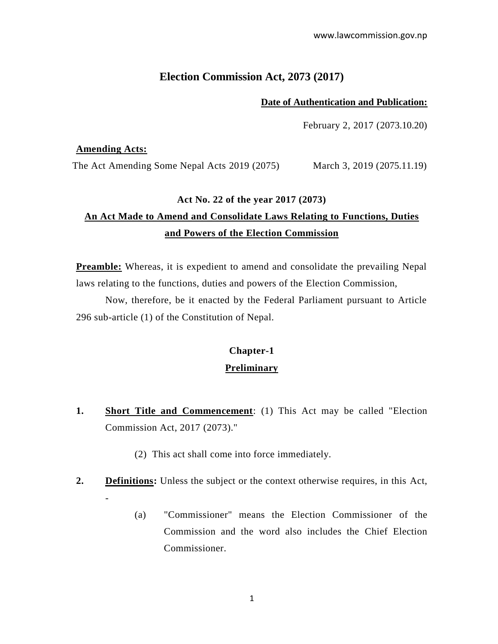### **Election Commission Act, 2073 (2017)**

#### **Date of Authentication and Publication:**

February 2, 2017 (2073.10.20)

#### **Amending Acts:**

The Act Amending Some Nepal Acts 2019 (2075) March 3, 2019 (2075.11.19)

#### **Act No. 22 of the year 2017 (2073)**

# **An Act Made to Amend and Consolidate Laws Relating to Functions, Duties and Powers of the Election Commission**

**Preamble:** Whereas, it is expedient to amend and consolidate the prevailing Nepal laws relating to the functions, duties and powers of the Election Commission,

Now, therefore, be it enacted by the Federal Parliament pursuant to Article 296 sub-article (1) of the Constitution of Nepal.

# **Chapter-1 Preliminary**

- **1. Short Title and Commencement**: (1) This Act may be called "Election Commission Act, 2017 (2073)."
	- (2) This act shall come into force immediately.
- **2. Definitions:** Unless the subject or the context otherwise requires, in this Act, -
	- (a) "Commissioner" means the Election Commissioner of the Commission and the word also includes the Chief Election Commissioner.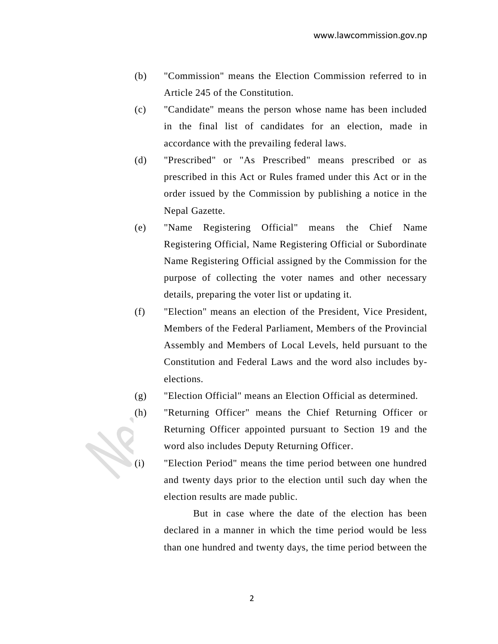- (b) "Commission" means the Election Commission referred to in Article 245 of the Constitution.
- (c) "Candidate" means the person whose name has been included in the final list of candidates for an election, made in accordance with the prevailing federal laws.
- (d) "Prescribed" or "As Prescribed" means prescribed or as prescribed in this Act or Rules framed under this Act or in the order issued by the Commission by publishing a notice in the Nepal Gazette.
- (e) "Name Registering Official" means the Chief Name Registering Official, Name Registering Official or Subordinate Name Registering Official assigned by the Commission for the purpose of collecting the voter names and other necessary details, preparing the voter list or updating it.
- (f) "Election" means an election of the President, Vice President, Members of the Federal Parliament, Members of the Provincial Assembly and Members of Local Levels, held pursuant to the Constitution and Federal Laws and the word also includes byelections.
- (g) "Election Official" means an Election Official as determined.
- (h) "Returning Officer" means the Chief Returning Officer or Returning Officer appointed pursuant to Section 19 and the word also includes Deputy Returning Officer.



(i) "Election Period" means the time period between one hundred and twenty days prior to the election until such day when the election results are made public.

> But in case where the date of the election has been declared in a manner in which the time period would be less than one hundred and twenty days, the time period between the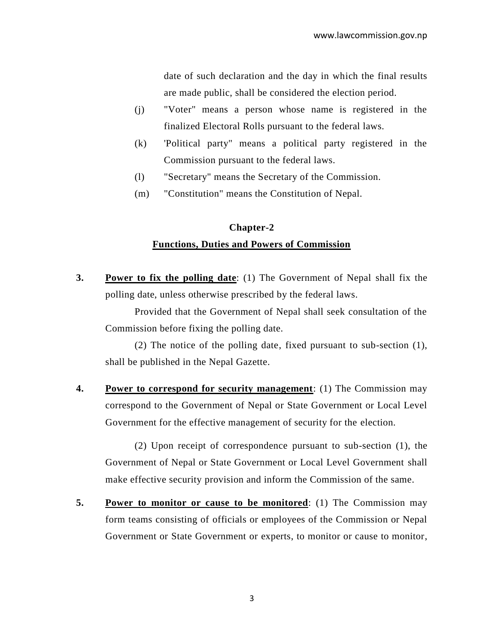date of such declaration and the day in which the final results are made public, shall be considered the election period.

- (j) "Voter" means a person whose name is registered in the finalized Electoral Rolls pursuant to the federal laws.
- (k) 'Political party" means a political party registered in the Commission pursuant to the federal laws.
- (l) "Secretary" means the Secretary of the Commission.
- (m) "Constitution" means the Constitution of Nepal.

## **Chapter-2 Functions, Duties and Powers of Commission**

**3. Power to fix the polling date**: (1) The Government of Nepal shall fix the polling date, unless otherwise prescribed by the federal laws.

Provided that the Government of Nepal shall seek consultation of the Commission before fixing the polling date.

(2) The notice of the polling date, fixed pursuant to sub-section (1), shall be published in the Nepal Gazette.

**4. Power to correspond for security management**: (1) The Commission may correspond to the Government of Nepal or State Government or Local Level Government for the effective management of security for the election.

(2) Upon receipt of correspondence pursuant to sub-section (1), the Government of Nepal or State Government or Local Level Government shall make effective security provision and inform the Commission of the same.

**5. Power to monitor or cause to be monitored**: (1) The Commission may form teams consisting of officials or employees of the Commission or Nepal Government or State Government or experts, to monitor or cause to monitor,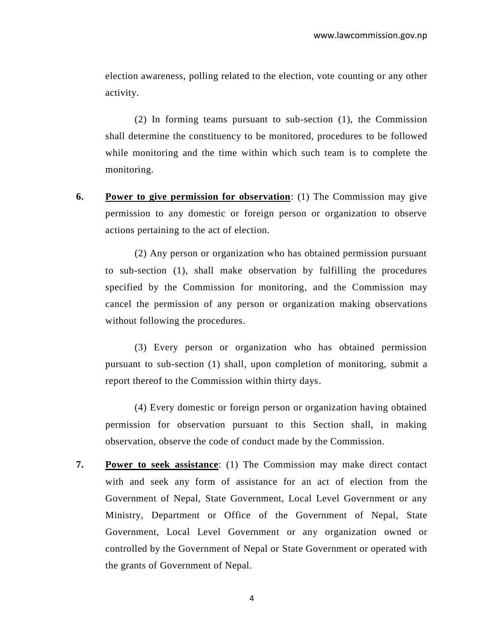election awareness, polling related to the election, vote counting or any other activity.

(2) In forming teams pursuant to sub-section (1), the Commission shall determine the constituency to be monitored, procedures to be followed while monitoring and the time within which such team is to complete the monitoring.

**6. Power to give permission for observation**: (1) The Commission may give permission to any domestic or foreign person or organization to observe actions pertaining to the act of election.

(2) Any person or organization who has obtained permission pursuant to sub-section (1), shall make observation by fulfilling the procedures specified by the Commission for monitoring, and the Commission may cancel the permission of any person or organization making observations without following the procedures.

(3) Every person or organization who has obtained permission pursuant to sub-section (1) shall, upon completion of monitoring, submit a report thereof to the Commission within thirty days.

(4) Every domestic or foreign person or organization having obtained permission for observation pursuant to this Section shall, in making observation, observe the code of conduct made by the Commission.

**7. Power to seek assistance**: (1) The Commission may make direct contact with and seek any form of assistance for an act of election from the Government of Nepal, State Government, Local Level Government or any Ministry, Department or Office of the Government of Nepal, State Government, Local Level Government or any organization owned or controlled by the Government of Nepal or State Government or operated with the grants of Government of Nepal.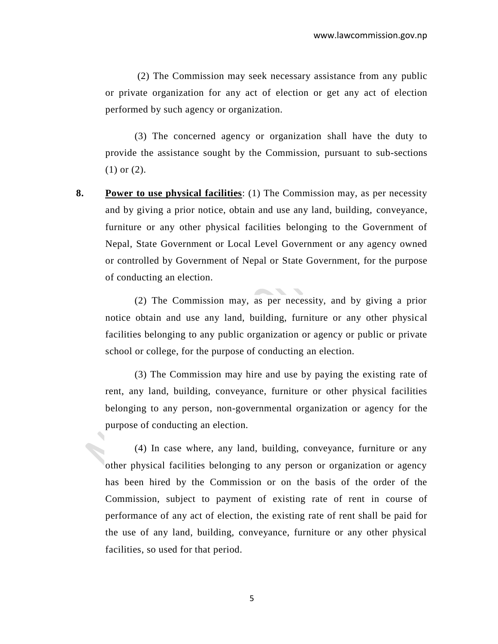(2) The Commission may seek necessary assistance from any public or private organization for any act of election or get any act of election performed by such agency or organization.

(3) The concerned agency or organization shall have the duty to provide the assistance sought by the Commission, pursuant to sub-sections (1) or (2).

**8. Power to use physical facilities**: (1) The Commission may, as per necessity and by giving a prior notice, obtain and use any land, building, conveyance, furniture or any other physical facilities belonging to the Government of Nepal, State Government or Local Level Government or any agency owned or controlled by Government of Nepal or State Government, for the purpose of conducting an election.

(2) The Commission may, as per necessity, and by giving a prior notice obtain and use any land, building, furniture or any other physical facilities belonging to any public organization or agency or public or private school or college, for the purpose of conducting an election.

(3) The Commission may hire and use by paying the existing rate of rent, any land, building, conveyance, furniture or other physical facilities belonging to any person, non-governmental organization or agency for the purpose of conducting an election.

(4) In case where, any land, building, conveyance, furniture or any other physical facilities belonging to any person or organization or agency has been hired by the Commission or on the basis of the order of the Commission, subject to payment of existing rate of rent in course of performance of any act of election, the existing rate of rent shall be paid for the use of any land, building, conveyance, furniture or any other physical facilities, so used for that period.

5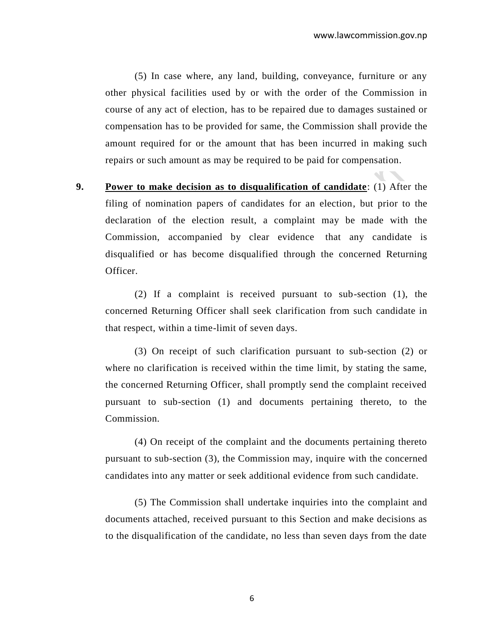(5) In case where, any land, building, conveyance, furniture or any other physical facilities used by or with the order of the Commission in course of any act of election, has to be repaired due to damages sustained or compensation has to be provided for same, the Commission shall provide the amount required for or the amount that has been incurred in making such repairs or such amount as may be required to be paid for compensation.

**9. Power to make decision as to disqualification of candidate**: (1) After the filing of nomination papers of candidates for an election, but prior to the declaration of the election result, a complaint may be made with the Commission, accompanied by clear evidence that any candidate is disqualified or has become disqualified through the concerned Returning Officer.

(2) If a complaint is received pursuant to sub-section (1), the concerned Returning Officer shall seek clarification from such candidate in that respect, within a time-limit of seven days.

(3) On receipt of such clarification pursuant to sub-section (2) or where no clarification is received within the time limit, by stating the same, the concerned Returning Officer, shall promptly send the complaint received pursuant to sub-section (1) and documents pertaining thereto, to the Commission.

(4) On receipt of the complaint and the documents pertaining thereto pursuant to sub-section (3), the Commission may, inquire with the concerned candidates into any matter or seek additional evidence from such candidate.

(5) The Commission shall undertake inquiries into the complaint and documents attached, received pursuant to this Section and make decisions as to the disqualification of the candidate, no less than seven days from the date

6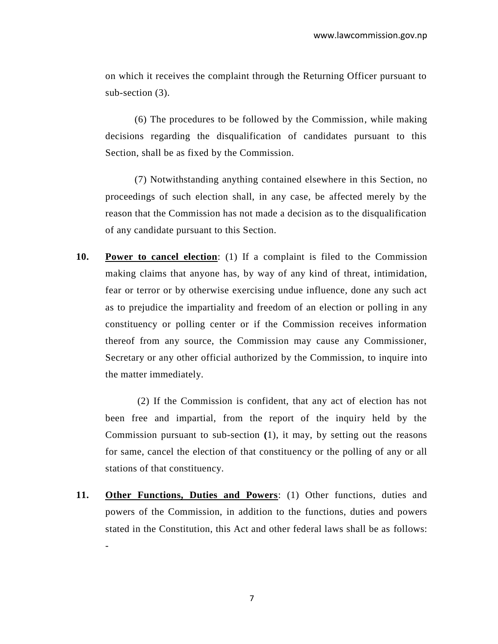on which it receives the complaint through the Returning Officer pursuant to sub-section (3).

(6) The procedures to be followed by the Commission, while making decisions regarding the disqualification of candidates pursuant to this Section, shall be as fixed by the Commission.

(7) Notwithstanding anything contained elsewhere in this Section, no proceedings of such election shall, in any case, be affected merely by the reason that the Commission has not made a decision as to the disqualification of any candidate pursuant to this Section.

**10. Power to cancel election**: (1) If a complaint is filed to the Commission making claims that anyone has, by way of any kind of threat, intimidation, fear or terror or by otherwise exercising undue influence, done any such act as to prejudice the impartiality and freedom of an election or polling in any constituency or polling center or if the Commission receives information thereof from any source, the Commission may cause any Commissioner, Secretary or any other official authorized by the Commission, to inquire into the matter immediately.

(2) If the Commission is confident, that any act of election has not been free and impartial, from the report of the inquiry held by the Commission pursuant to sub-section **(**1), it may, by setting out the reasons for same, cancel the election of that constituency or the polling of any or all stations of that constituency.

**11. Other Functions, Duties and Powers**: (1) Other functions, duties and powers of the Commission, in addition to the functions, duties and powers stated in the Constitution, this Act and other federal laws shall be as follows: -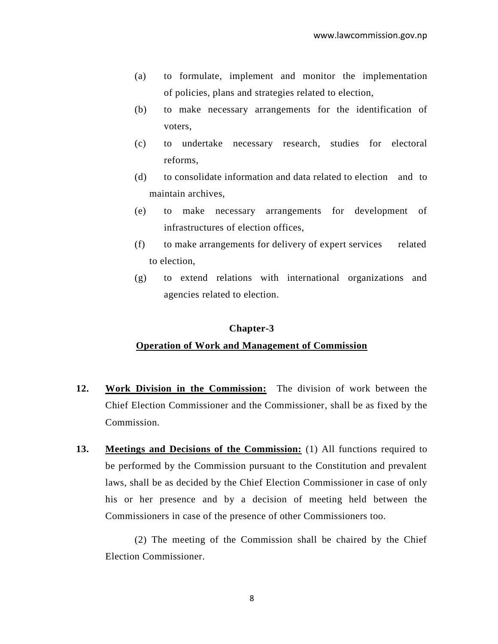- (a) to formulate, implement and monitor the implementation of policies, plans and strategies related to election,
- (b) to make necessary arrangements for the identification of voters,
- (c) to undertake necessary research, studies for electoral reforms,
- (d) to consolidate information and data related to election and to maintain archives,
- (e) to make necessary arrangements for development of infrastructures of election offices,
- (f) to make arrangements for delivery of expert services related to election,
- (g) to extend relations with international organizations and agencies related to election.

#### **Chapter-3**

### **Operation of Work and Management of Commission**

- **12. Work Division in the Commission:** The division of work between the Chief Election Commissioner and the Commissioner, shall be as fixed by the Commission.
- **13. Meetings and Decisions of the Commission:** (1) All functions required to be performed by the Commission pursuant to the Constitution and prevalent laws, shall be as decided by the Chief Election Commissioner in case of only his or her presence and by a decision of meeting held between the Commissioners in case of the presence of other Commissioners too.

(2) The meeting of the Commission shall be chaired by the Chief Election Commissioner.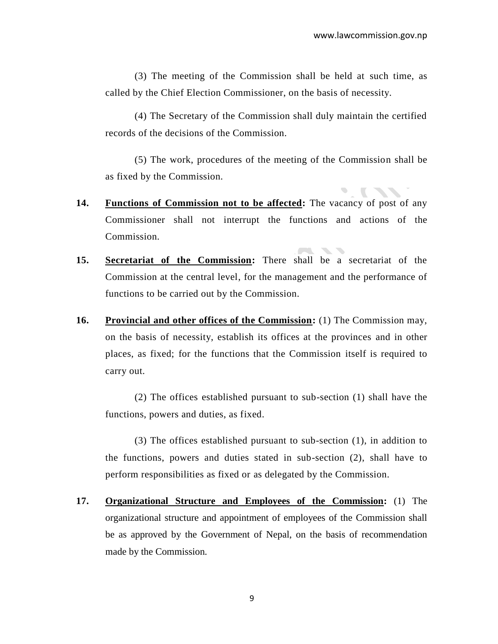(3) The meeting of the Commission shall be held at such time, as called by the Chief Election Commissioner, on the basis of necessity.

(4) The Secretary of the Commission shall duly maintain the certified records of the decisions of the Commission.

(5) The work, procedures of the meeting of the Commission shall be as fixed by the Commission.

 $\mathcal{L}_{\mathcal{L}}$ 

 $\overline{\phantom{a}}$ 

- **14. Functions of Commission not to be affected:** The vacancy of post of any Commissioner shall not interrupt the functions and actions of the Commission.
- **15. Secretariat of the Commission:** There shall be a secretariat of the Commission at the central level, for the management and the performance of functions to be carried out by the Commission.
- **16. Provincial and other offices of the Commission:** (1) The Commission may, on the basis of necessity, establish its offices at the provinces and in other places, as fixed; for the functions that the Commission itself is required to carry out.

(2) The offices established pursuant to sub-section (1) shall have the functions, powers and duties, as fixed.

(3) The offices established pursuant to sub-section (1), in addition to the functions, powers and duties stated in sub-section (2), shall have to perform responsibilities as fixed or as delegated by the Commission.

**17. Organizational Structure and Employees of the Commission:** (1) The organizational structure and appointment of employees of the Commission shall be as approved by the Government of Nepal, on the basis of recommendation made by the Commission.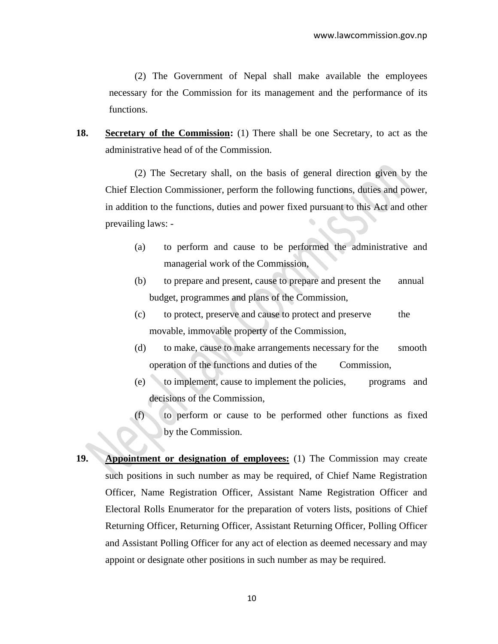(2) The Government of Nepal shall make available the employees necessary for the Commission for its management and the performance of its functions.

**18. Secretary of the Commission:** (1) There shall be one Secretary, to act as the administrative head of of the Commission.

(2) The Secretary shall, on the basis of general direction given by the Chief Election Commissioner, perform the following functions, duties and power, in addition to the functions, duties and power fixed pursuant to this Act and other prevailing laws: -

- (a) to perform and cause to be performed the administrative and managerial work of the Commission,
- (b) to prepare and present, cause to prepare and present the annual budget, programmes and plans of the Commission,
- (c) to protect, preserve and cause to protect and preserve the movable, immovable property of the Commission,
- (d) to make, cause to make arrangements necessary for the smooth operation of the functions and duties of the Commission,
- (e) to implement, cause to implement the policies, programs and decisions of the Commission,
- (f) to perform or cause to be performed other functions as fixed by the Commission.
- **19. Appointment or designation of employees:** (1) The Commission may create such positions in such number as may be required, of Chief Name Registration Officer, Name Registration Officer, Assistant Name Registration Officer and Electoral Rolls Enumerator for the preparation of voters lists, positions of Chief Returning Officer, Returning Officer, Assistant Returning Officer, Polling Officer and Assistant Polling Officer for any act of election as deemed necessary and may appoint or designate other positions in such number as may be required.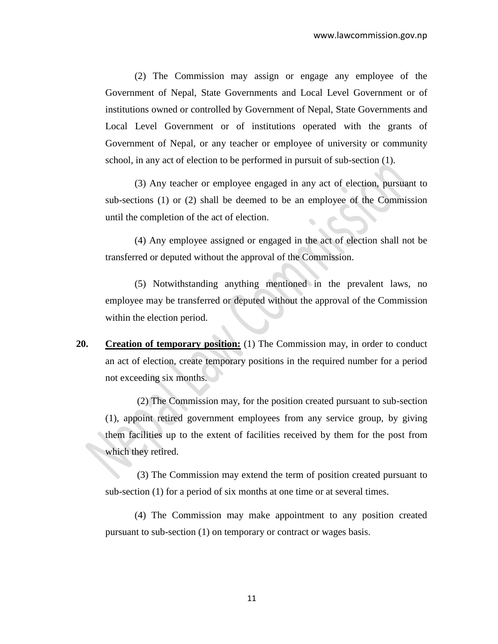(2) The Commission may assign or engage any employee of the Government of Nepal, State Governments and Local Level Government or of institutions owned or controlled by Government of Nepal, State Governments and Local Level Government or of institutions operated with the grants of Government of Nepal, or any teacher or employee of university or community school, in any act of election to be performed in pursuit of sub-section (1).

(3) Any teacher or employee engaged in any act of election, pursuant to sub-sections (1) or (2) shall be deemed to be an employee of the Commission until the completion of the act of election.

(4) Any employee assigned or engaged in the act of election shall not be transferred or deputed without the approval of the Commission.

(5) Notwithstanding anything mentioned in the prevalent laws, no employee may be transferred or deputed without the approval of the Commission within the election period.

**20. Creation of temporary position:** (1) The Commission may, in order to conduct an act of election, create temporary positions in the required number for a period not exceeding six months.

(2) The Commission may, for the position created pursuant to sub-section (1), appoint retired government employees from any service group, by giving them facilities up to the extent of facilities received by them for the post from which they retired.

(3) The Commission may extend the term of position created pursuant to sub-section (1) for a period of six months at one time or at several times.

(4) The Commission may make appointment to any position created pursuant to sub-section (1) on temporary or contract or wages basis.

11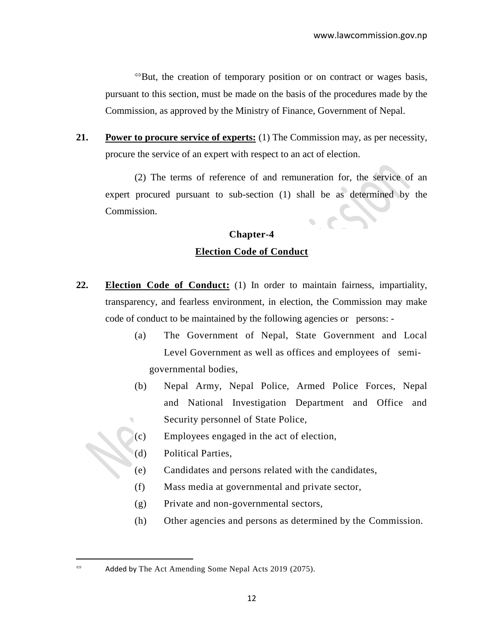$\Theta$ But, the creation of temporary position or on contract or wages basis, pursuant to this section, must be made on the basis of the procedures made by the Commission, as approved by the Ministry of Finance, Government of Nepal.

**21. Power to procure service of experts:** (1) The Commission may, as per necessity, procure the service of an expert with respect to an act of election.

(2) The terms of reference of and remuneration for, the service of an expert procured pursuant to sub-section (1) shall be as determined by the Commission.

### **Chapter-4 Election Code of Conduct**

- **22. Election Code of Conduct:** (1) In order to maintain fairness, impartiality, transparency, and fearless environment, in election, the Commission may make code of conduct to be maintained by the following agencies or persons: -
	- (a) The Government of Nepal, State Government and Local Level Government as well as offices and employees of semigovernmental bodies,
	- (b) Nepal Army, Nepal Police, Armed Police Forces, Nepal and National Investigation Department and Office and Security personnel of State Police,
	- (c) Employees engaged in the act of election,
	- (d) Political Parties,
	- (e) Candidates and persons related with the candidates,
	- (f) Mass media at governmental and private sector,
	- (g) Private and non-governmental sectors,
	- (h) Other agencies and persons as determined by the Commission.

 $\overline{a}$ 

 $\approx$  Added by The Act Amending Some Nepal Acts 2019 (2075).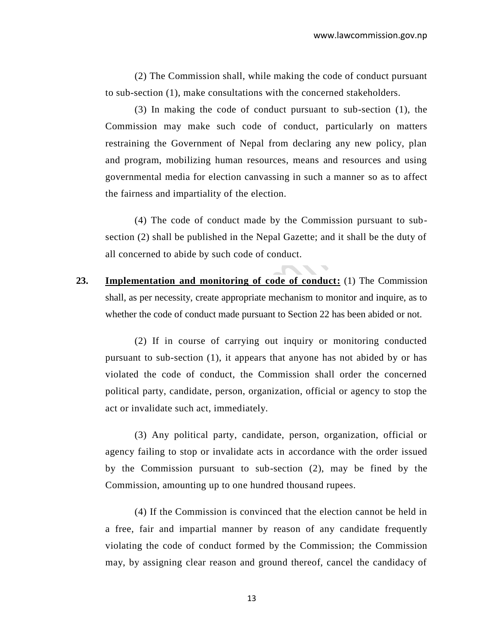(2) The Commission shall, while making the code of conduct pursuant to sub-section (1), make consultations with the concerned stakeholders.

(3) In making the code of conduct pursuant to sub-section (1), the Commission may make such code of conduct, particularly on matters restraining the Government of Nepal from declaring any new policy, plan and program, mobilizing human resources, means and resources and using governmental media for election canvassing in such a manner so as to affect the fairness and impartiality of the election.

(4) The code of conduct made by the Commission pursuant to subsection (2) shall be published in the Nepal Gazette; and it shall be the duty of all concerned to abide by such code of conduct.

**23. Implementation and monitoring of code of conduct:** (1) The Commission shall, as per necessity, create appropriate mechanism to monitor and inquire, as to whether the code of conduct made pursuant to Section 22 has been abided or not.

(2) If in course of carrying out inquiry or monitoring conducted pursuant to sub-section (1), it appears that anyone has not abided by or has violated the code of conduct, the Commission shall order the concerned political party, candidate, person, organization, official or agency to stop the act or invalidate such act, immediately.

(3) Any political party, candidate, person, organization, official or agency failing to stop or invalidate acts in accordance with the order issued by the Commission pursuant to sub-section (2), may be fined by the Commission, amounting up to one hundred thousand rupees.

(4) If the Commission is convinced that the election cannot be held in a free, fair and impartial manner by reason of any candidate frequently violating the code of conduct formed by the Commission; the Commission may, by assigning clear reason and ground thereof, cancel the candidacy of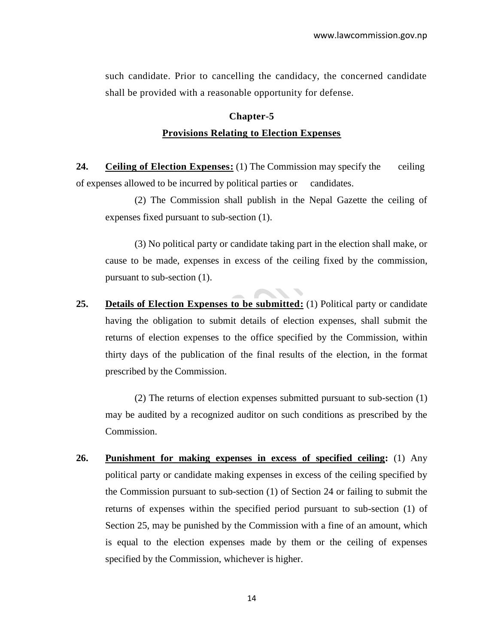such candidate. Prior to cancelling the candidacy, the concerned candidate shall be provided with a reasonable opportunity for defense.

## **Chapter-5 Provisions Relating to Election Expenses**

**24. Ceiling of Election Expenses:** (1) The Commission may specify the ceiling of expenses allowed to be incurred by political parties or candidates.

(2) The Commission shall publish in the Nepal Gazette the ceiling of expenses fixed pursuant to sub-section (1).

(3) No political party or candidate taking part in the election shall make, or cause to be made, expenses in excess of the ceiling fixed by the commission, pursuant to sub-section (1).

**25. Details of Election Expenses to be submitted:** (1) Political party or candidate having the obligation to submit details of election expenses, shall submit the returns of election expenses to the office specified by the Commission, within thirty days of the publication of the final results of the election, in the format prescribed by the Commission.

(2) The returns of election expenses submitted pursuant to sub-section (1) may be audited by a recognized auditor on such conditions as prescribed by the Commission.

**26. Punishment for making expenses in excess of specified ceiling:** (1) Any political party or candidate making expenses in excess of the ceiling specified by the Commission pursuant to sub-section (1) of Section 24 or failing to submit the returns of expenses within the specified period pursuant to sub-section (1) of Section 25, may be punished by the Commission with a fine of an amount, which is equal to the election expenses made by them or the ceiling of expenses specified by the Commission, whichever is higher.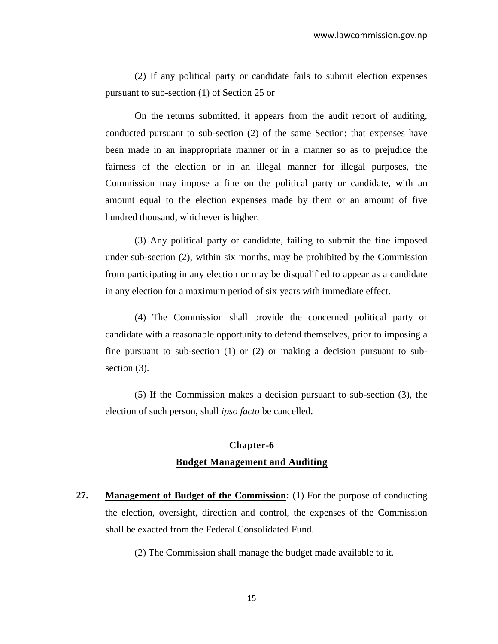(2) If any political party or candidate fails to submit election expenses pursuant to sub-section (1) of Section 25 or

On the returns submitted, it appears from the audit report of auditing, conducted pursuant to sub-section (2) of the same Section; that expenses have been made in an inappropriate manner or in a manner so as to prejudice the fairness of the election or in an illegal manner for illegal purposes, the Commission may impose a fine on the political party or candidate, with an amount equal to the election expenses made by them or an amount of five hundred thousand, whichever is higher.

(3) Any political party or candidate, failing to submit the fine imposed under sub-section (2), within six months, may be prohibited by the Commission from participating in any election or may be disqualified to appear as a candidate in any election for a maximum period of six years with immediate effect.

(4) The Commission shall provide the concerned political party or candidate with a reasonable opportunity to defend themselves, prior to imposing a fine pursuant to sub-section (1) or (2) or making a decision pursuant to subsection  $(3)$ .

(5) If the Commission makes a decision pursuant to sub-section (3), the election of such person, shall *ipso facto* be cancelled.

### **Chapter-6 Budget Management and Auditing**

**27. Management of Budget of the Commission:** (1) For the purpose of conducting the election, oversight, direction and control, the expenses of the Commission shall be exacted from the Federal Consolidated Fund.

(2) The Commission shall manage the budget made available to it.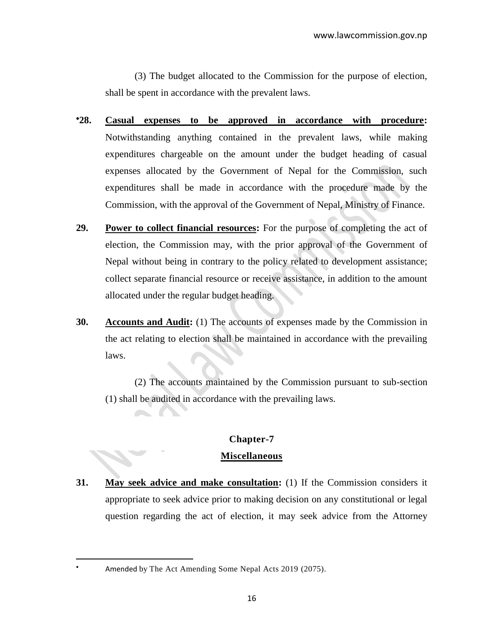(3) The budget allocated to the Commission for the purpose of election, shall be spent in accordance with the prevalent laws.

- **28. Casual expenses to be approved in accordance with procedure:**  Notwithstanding anything contained in the prevalent laws, while making expenditures chargeable on the amount under the budget heading of casual expenses allocated by the Government of Nepal for the Commission, such expenditures shall be made in accordance with the procedure made by the Commission, with the approval of the Government of Nepal, Ministry of Finance.
- **29. Power to collect financial resources:** For the purpose of completing the act of election, the Commission may, with the prior approval of the Government of Nepal without being in contrary to the policy related to development assistance; collect separate financial resource or receive assistance, in addition to the amount allocated under the regular budget heading.
- **30. Accounts and Audit:** (1) The accounts of expenses made by the Commission in the act relating to election shall be maintained in accordance with the prevailing laws.

(2) The accounts maintained by the Commission pursuant to sub-section (1) shall be audited in accordance with the prevailing laws.

### **Chapter-7 Miscellaneous**

**31. May seek advice and make consultation:** (1) If the Commission considers it appropriate to seek advice prior to making decision on any constitutional or legal question regarding the act of election, it may seek advice from the Attorney

 $\overline{a}$ 

Amended by The Act Amending Some Nepal Acts 2019 (2075).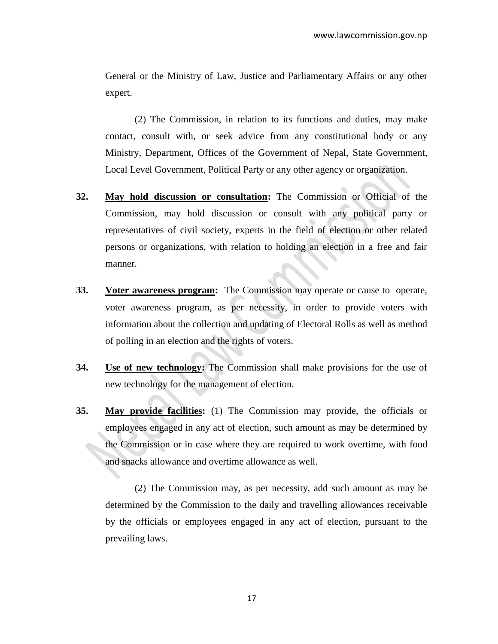General or the Ministry of Law, Justice and Parliamentary Affairs or any other expert.

(2) The Commission, in relation to its functions and duties, may make contact, consult with, or seek advice from any constitutional body or any Ministry, Department, Offices of the Government of Nepal, State Government, Local Level Government, Political Party or any other agency or organization.

- **32. May hold discussion or consultation:** The Commission or Official of the Commission, may hold discussion or consult with any political party or representatives of civil society, experts in the field of election or other related persons or organizations, with relation to holding an election in a free and fair manner.
- **33. Voter awareness program:** The Commission may operate or cause to operate, voter awareness program, as per necessity, in order to provide voters with information about the collection and updating of Electoral Rolls as well as method of polling in an election and the rights of voters.
- **34. Use of new technology:** The Commission shall make provisions for the use of new technology for the management of election.
- **35. May provide facilities:** (1) The Commission may provide, the officials or employees engaged in any act of election, such amount as may be determined by the Commission or in case where they are required to work overtime, with food and snacks allowance and overtime allowance as well.

(2) The Commission may, as per necessity, add such amount as may be determined by the Commission to the daily and travelling allowances receivable by the officials or employees engaged in any act of election, pursuant to the prevailing laws.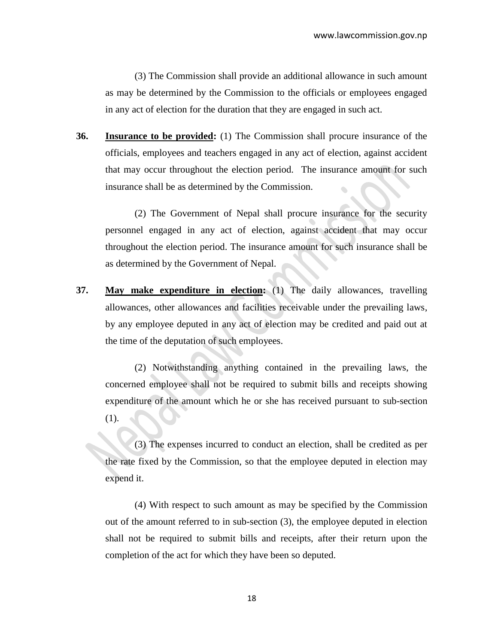(3) The Commission shall provide an additional allowance in such amount as may be determined by the Commission to the officials or employees engaged in any act of election for the duration that they are engaged in such act.

**36. Insurance to be provided:** (1) The Commission shall procure insurance of the officials, employees and teachers engaged in any act of election, against accident that may occur throughout the election period. The insurance amount for such insurance shall be as determined by the Commission.

(2) The Government of Nepal shall procure insurance for the security personnel engaged in any act of election, against accident that may occur throughout the election period. The insurance amount for such insurance shall be as determined by the Government of Nepal.

**37. May make expenditure in election:** (1) The daily allowances, travelling allowances, other allowances and facilities receivable under the prevailing laws, by any employee deputed in any act of election may be credited and paid out at the time of the deputation of such employees.

(2) Notwithstanding anything contained in the prevailing laws, the concerned employee shall not be required to submit bills and receipts showing expenditure of the amount which he or she has received pursuant to sub-section (1).

(3) The expenses incurred to conduct an election, shall be credited as per the rate fixed by the Commission, so that the employee deputed in election may expend it.

(4) With respect to such amount as may be specified by the Commission out of the amount referred to in sub-section (3), the employee deputed in election shall not be required to submit bills and receipts, after their return upon the completion of the act for which they have been so deputed.

18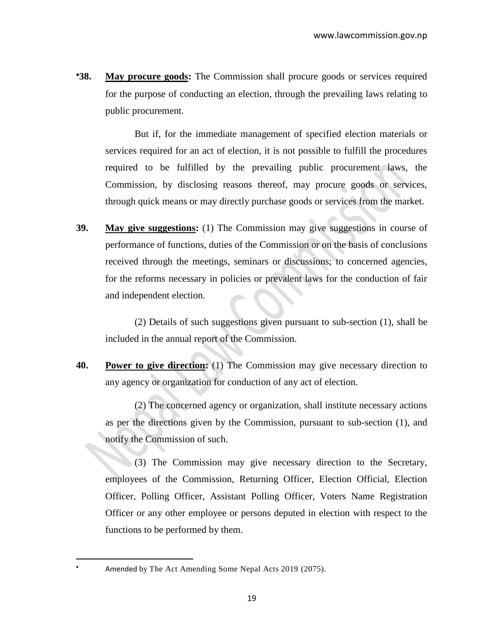**38. May procure goods:** The Commission shall procure goods or services required for the purpose of conducting an election, through the prevailing laws relating to public procurement.

But if, for the immediate management of specified election materials or services required for an act of election, it is not possible to fulfill the procedures required to be fulfilled by the prevailing public procurement laws, the Commission, by disclosing reasons thereof, may procure goods or services, through quick means or may directly purchase goods or services from the market.

**39. May give suggestions:** (1) The Commission may give suggestions in course of performance of functions, duties of the Commission or on the basis of conclusions received through the meetings, seminars or discussions; to concerned agencies, for the reforms necessary in policies or prevalent laws for the conduction of fair and independent election.

(2) Details of such suggestions given pursuant to sub-section (1), shall be included in the annual report of the Commission.

**40. Power to give direction:** (1) The Commission may give necessary direction to any agency or organization for conduction of any act of election.

(2) The concerned agency or organization, shall institute necessary actions as per the directions given by the Commission, pursuant to sub-section (1), and notify the Commission of such.

(3) The Commission may give necessary direction to the Secretary, employees of the Commission, Returning Officer, Election Official, Election Officer, Polling Officer, Assistant Polling Officer, Voters Name Registration Officer or any other employee or persons deputed in election with respect to the functions to be performed by them.

 $\overline{a}$ 

Amended by The Act Amending Some Nepal Acts 2019 (2075).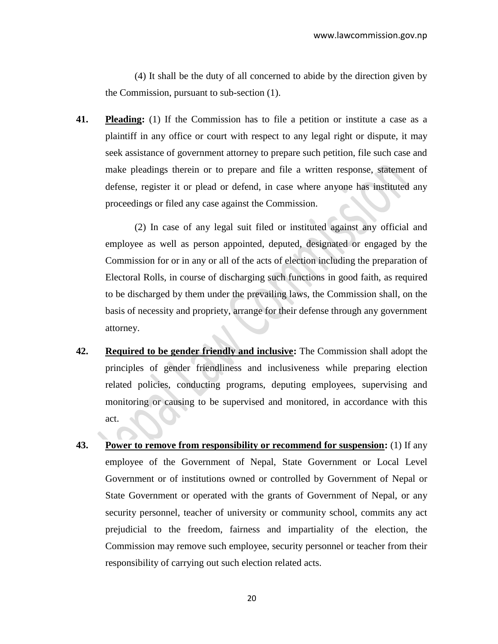(4) It shall be the duty of all concerned to abide by the direction given by the Commission, pursuant to sub-section (1).

**41. Pleading:** (1) If the Commission has to file a petition or institute a case as a plaintiff in any office or court with respect to any legal right or dispute, it may seek assistance of government attorney to prepare such petition, file such case and make pleadings therein or to prepare and file a written response, statement of defense, register it or plead or defend, in case where anyone has instituted any proceedings or filed any case against the Commission.

(2) In case of any legal suit filed or instituted against any official and employee as well as person appointed, deputed, designated or engaged by the Commission for or in any or all of the acts of election including the preparation of Electoral Rolls, in course of discharging such functions in good faith, as required to be discharged by them under the prevailing laws, the Commission shall, on the basis of necessity and propriety, arrange for their defense through any government attorney.

- **42. Required to be gender friendly and inclusive:** The Commission shall adopt the principles of gender friendliness and inclusiveness while preparing election related policies, conducting programs, deputing employees, supervising and monitoring or causing to be supervised and monitored, in accordance with this act.
- **43. Power to remove from responsibility or recommend for suspension:** (1) If any employee of the Government of Nepal, State Government or Local Level Government or of institutions owned or controlled by Government of Nepal or State Government or operated with the grants of Government of Nepal, or any security personnel, teacher of university or community school, commits any act prejudicial to the freedom, fairness and impartiality of the election, the Commission may remove such employee, security personnel or teacher from their responsibility of carrying out such election related acts.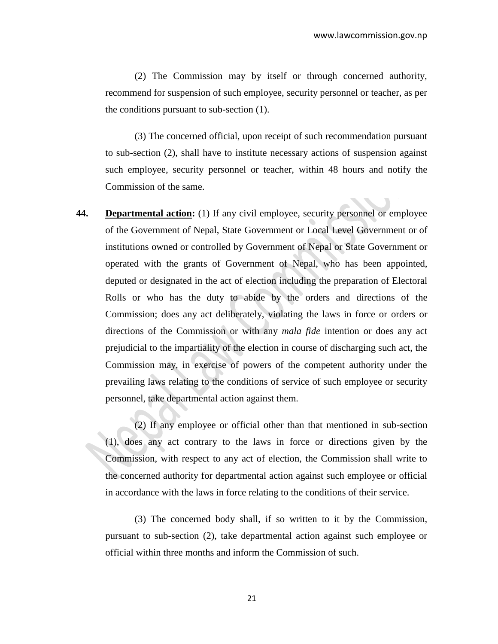(2) The Commission may by itself or through concerned authority, recommend for suspension of such employee, security personnel or teacher, as per the conditions pursuant to sub-section (1).

(3) The concerned official, upon receipt of such recommendation pursuant to sub-section (2), shall have to institute necessary actions of suspension against such employee, security personnel or teacher, within 48 hours and notify the Commission of the same.

**44. Departmental action:** (1) If any civil employee, security personnel or employee of the Government of Nepal, State Government or Local Level Government or of institutions owned or controlled by Government of Nepal or State Government or operated with the grants of Government of Nepal, who has been appointed, deputed or designated in the act of election including the preparation of Electoral Rolls or who has the duty to abide by the orders and directions of the Commission; does any act deliberately, violating the laws in force or orders or directions of the Commission or with any *mala fide* intention or does any act prejudicial to the impartiality of the election in course of discharging such act, the Commission may, in exercise of powers of the competent authority under the prevailing laws relating to the conditions of service of such employee or security personnel, take departmental action against them.

(2) If any employee or official other than that mentioned in sub-section (1), does any act contrary to the laws in force or directions given by the Commission, with respect to any act of election, the Commission shall write to the concerned authority for departmental action against such employee or official in accordance with the laws in force relating to the conditions of their service.

(3) The concerned body shall, if so written to it by the Commission, pursuant to sub-section (2), take departmental action against such employee or official within three months and inform the Commission of such.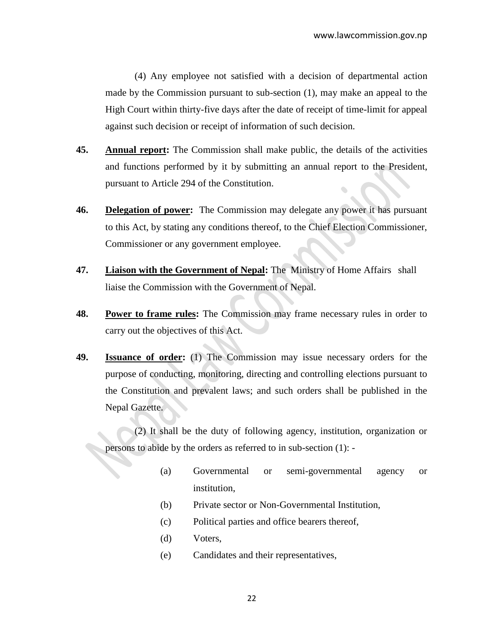(4) Any employee not satisfied with a decision of departmental action made by the Commission pursuant to sub-section (1), may make an appeal to the High Court within thirty-five days after the date of receipt of time-limit for appeal against such decision or receipt of information of such decision.

- **45. Annual report:** The Commission shall make public, the details of the activities and functions performed by it by submitting an annual report to the President, pursuant to Article 294 of the Constitution.
- **46. Delegation of power:** The Commission may delegate any power it has pursuant to this Act, by stating any conditions thereof, to the Chief Election Commissioner, Commissioner or any government employee.
- **47. Liaison with the Government of Nepal:** The Ministry of Home Affairs shall liaise the Commission with the Government of Nepal.
- **48. Power to frame rules:** The Commission may frame necessary rules in order to carry out the objectives of this Act.
- **49. Issuance of order:** (1) The Commission may issue necessary orders for the purpose of conducting, monitoring, directing and controlling elections pursuant to the Constitution and prevalent laws; and such orders shall be published in the Nepal Gazette.

(2) It shall be the duty of following agency, institution, organization or persons to abide by the orders as referred to in sub-section (1): -

- (a) Governmental or semi-governmental agency or institution,
- (b) Private sector or Non-Governmental Institution,
- (c) Political parties and office bearers thereof,
- (d) Voters,
- (e) Candidates and their representatives,